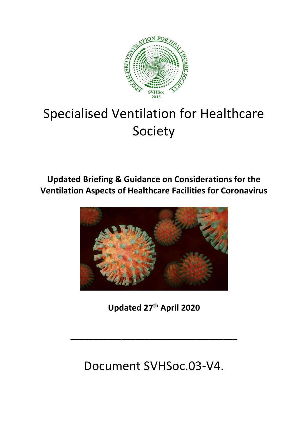

# Specialised Ventilation for Healthcare Society

**Updated Briefing & Guidance on Considerations for the Ventilation Aspects of Healthcare Facilities for Coronavirus**



**Updated 27th April 2020**

\_\_\_\_\_\_\_\_\_\_\_\_\_\_\_\_\_\_\_\_\_\_\_\_\_\_\_\_\_\_\_\_\_\_\_\_

Document SVHSoc.03-V4.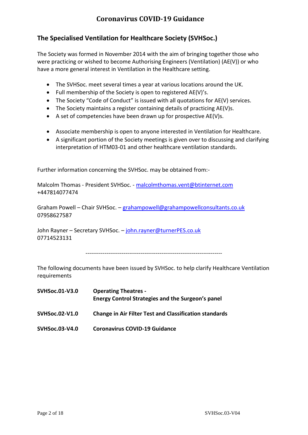## **The Specialised Ventilation for Healthcare Society (SVHSoc.)**

The Society was formed in November 2014 with the aim of bringing together those who were practicing or wished to become Authorising Engineers (Ventilation) (AE(V)) or who have a more general interest in Ventilation in the Healthcare setting.

- The SVHSoc. meet several times a year at various locations around the UK.
- Full membership of the Society is open to registered AE(V)'s.
- The Society "Code of Conduct" is issued with all quotations for AE(V) services.
- The Society maintains a register containing details of practicing AE(V)s.
- A set of competencies have been drawn up for prospective AE(V)s.
- Associate membership is open to anyone interested in Ventilation for Healthcare.
- A significant portion of the Society meetings is given over to discussing and clarifying interpretation of HTM03-01 and other healthcare ventilation standards.

Further information concerning the SVHSoc. may be obtained from:-

Malcolm Thomas - President SVHSoc. - [malcolmthomas.vent@btinternet.com](mailto:malcolmthomas.vent@btinternet.com) +447814077474

Graham Powell – Chair SVHSoc. – [grahampowell@grahampowellconsultants.co.uk](mailto:grahampowell@grahampowellconsultants.co.uk) 07958627587

John Rayner - Secretary SVHSoc. - [john.rayner@turnerPES.co.uk](mailto:john.rayner@turnerPES.co.uk) 07714523131

------------------------------------------------------------------------

The following documents have been issued by SVHSoc. to help clarify Healthcare Ventilation requirements

| SVHSoc.01-V3.0 | <b>Operating Theatres -</b><br>Energy Control Strategies and the Surgeon's panel |  |  |
|----------------|----------------------------------------------------------------------------------|--|--|
| SVHSoc.02-V1.0 | <b>Change in Air Filter Test and Classification standards</b>                    |  |  |
| SVHSoc.03-V4.0 | <b>Coronavirus COVID-19 Guidance</b>                                             |  |  |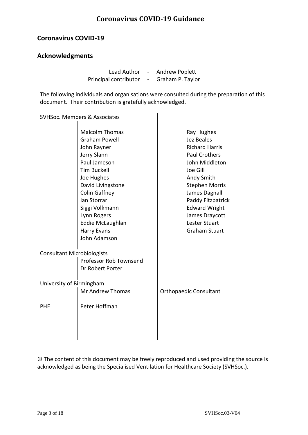#### **Coronavirus COVID-19**

#### **Acknowledgments**

Lead Author - Andrew Poplett Principal contributor - Graham P. Taylor

The following individuals and organisations were consulted during the preparation of this document. Their contribution is gratefully acknowledged.

SVHSoc. Members & Associates

|                                              | <b>Malcolm Thomas</b><br><b>Graham Powell</b><br>John Rayner<br>Jerry Slann<br>Paul Jameson<br><b>Tim Buckell</b><br>Joe Hughes<br>David Livingstone<br>Colin Gaffney<br>Ian Storrar<br>Siggi Volkmann<br>Lynn Rogers<br>Eddie McLaughlan<br><b>Harry Evans</b><br>John Adamson | Ray Hughes<br>Jez Beales<br><b>Richard Harris</b><br><b>Paul Crothers</b><br>John Middleton<br>Joe Gill<br>Andy Smith<br><b>Stephen Morris</b><br>James Dagnall<br>Paddy Fitzpatrick<br><b>Edward Wright</b><br>James Draycott<br>Lester Stuart<br><b>Graham Stuart</b> |
|----------------------------------------------|---------------------------------------------------------------------------------------------------------------------------------------------------------------------------------------------------------------------------------------------------------------------------------|-------------------------------------------------------------------------------------------------------------------------------------------------------------------------------------------------------------------------------------------------------------------------|
| <b>Consultant Microbiologists</b>            | Professor Rob Townsend<br>Dr Robert Porter                                                                                                                                                                                                                                      |                                                                                                                                                                                                                                                                         |
| University of Birmingham<br>Mr Andrew Thomas |                                                                                                                                                                                                                                                                                 | <b>Orthopaedic Consultant</b>                                                                                                                                                                                                                                           |
| <b>PHE</b>                                   | Peter Hoffman                                                                                                                                                                                                                                                                   |                                                                                                                                                                                                                                                                         |
|                                              |                                                                                                                                                                                                                                                                                 |                                                                                                                                                                                                                                                                         |

© The content of this document may be freely reproduced and used providing the source is acknowledged as being the Specialised Ventilation for Healthcare Society (SVHSoc.).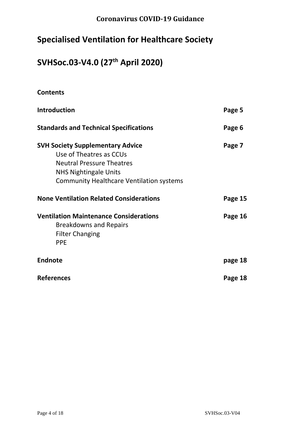## **Specialised Ventilation for Healthcare Society**

## **SVHSoc.03-V4.0 (27th April 2020)**

| <b>Contents</b>                                                                                                                                                                           |         |
|-------------------------------------------------------------------------------------------------------------------------------------------------------------------------------------------|---------|
| Introduction                                                                                                                                                                              | Page 5  |
| <b>Standards and Technical Specifications</b>                                                                                                                                             | Page 6  |
| <b>SVH Society Supplementary Advice</b><br>Use of Theatres as CCUs<br><b>Neutral Pressure Theatres</b><br><b>NHS Nightingale Units</b><br><b>Community Healthcare Ventilation systems</b> | Page 7  |
| <b>None Ventilation Related Considerations</b>                                                                                                                                            | Page 15 |
| <b>Ventilation Maintenance Considerations</b><br><b>Breakdowns and Repairs</b><br><b>Filter Changing</b><br><b>PPE</b>                                                                    | Page 16 |
| <b>Endnote</b>                                                                                                                                                                            | page 18 |
| <b>References</b>                                                                                                                                                                         | Page 18 |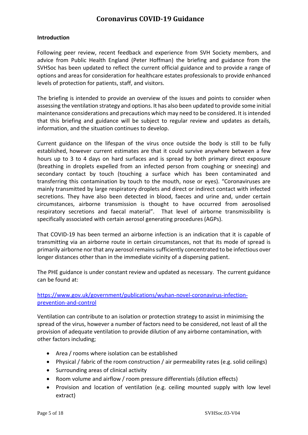#### **Introduction**

Following peer review, recent feedback and experience from SVH Society members, and advice from Public Health England (Peter Hoffman) the briefing and guidance from the SVHSoc has been updated to reflect the current official guidance and to provide a range of options and areas for consideration for healthcare estates professionals to provide enhanced levels of protection for patients, staff, and visitors.

The briefing is intended to provide an overview of the issues and points to consider when assessing the ventilation strategy and options. It has also been updated to provide some initial maintenance considerations and precautions which may need to be considered. It is intended that this briefing and guidance will be subject to regular review and updates as details, information, and the situation continues to develop.

Current guidance on the lifespan of the virus once outside the body is still to be fully established, however current estimates are that it could survive anywhere between a few hours up to 3 to 4 days on hard surfaces and is spread by both primary direct exposure (breathing in droplets expelled from an infected person from coughing or sneezing) and secondary contact by touch (touching a surface which has been contaminated and transferring this contamination by touch to the mouth, nose or eyes). "Coronaviruses are mainly transmitted by large respiratory droplets and direct or indirect contact with infected secretions. They have also been detected in blood, faeces and urine and, under certain circumstances, airborne transmission is thought to have occurred from aerosolised respiratory secretions and faecal material". That level of airborne transmissibility is specifically associated with certain aerosol generating procedures (AGPs).

That COVID-19 has been termed an airborne infection is an indication that it is capable of transmitting via an airborne route in certain circumstances, not that its mode of spread is primarily airborne nor that any aerosol remains sufficiently concentrated to be infectious over longer distances other than in the immediate vicinity of a dispersing patient.

The PHE guidance is under constant review and updated as necessary. The current guidance can be found at:

#### [https://www.gov.uk/government/publications/wuhan-novel-coronavirus-infection](https://www.gov.uk/government/publications/wuhan-novel-coronavirus-infection-prevention-and-control)[prevention-and-control](https://www.gov.uk/government/publications/wuhan-novel-coronavirus-infection-prevention-and-control)

Ventilation can contribute to an isolation or protection strategy to assist in minimising the spread of the virus, however a number of factors need to be considered, not least of all the provision of adequate ventilation to provide dilution of any airborne contamination, with other factors including;

- Area / rooms where isolation can be established
- Physical / fabric of the room construction / air permeability rates (e.g. solid ceilings)
- Surrounding areas of clinical activity
- Room volume and airflow / room pressure differentials (dilution effects)
- Provision and location of ventilation (e.g. ceiling mounted supply with low level extract)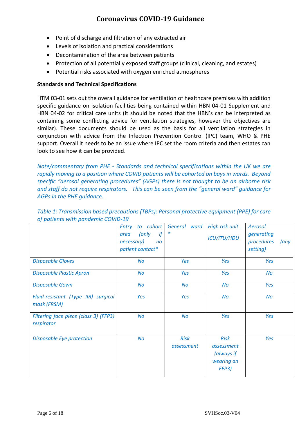- Point of discharge and filtration of any extracted air
- Levels of isolation and practical considerations
- Decontamination of the area between patients
- Protection of all potentially exposed staff groups (clinical, cleaning, and estates)
- Potential risks associated with oxygen enriched atmospheres

#### **Standards and Technical Specifications**

HTM 03-01 sets out the overall guidance for ventilation of healthcare premises with addition specific guidance on isolation facilities being contained within HBN 04-01 Supplement and HBN 04-02 for critical care units (it should be noted that the HBN's can be interpreted as containing some conflicting advice for ventilation strategies, however the objectives are similar). These documents should be used as the basis for all ventilation strategies in conjunction with advice from the Infection Prevention Control (IPC) team, WHO & PHE support. Overall it needs to be an issue where IPC set the room criteria and then estates can look to see how it can be provided.

*Note/commentary from PHE - Standards and technical specifications within the UK we are rapidly moving to a position where COVID patients will be cohorted on bays in wards. Beyond specific "aerosol generating procedures" (AGPs) there is not thought to be an airborne risk and staff do not require respirators. This can be seen from the "general ward" guidance for AGPs in the PHE guidance.*

|                                                     | to cohort<br>Entry<br>(only<br>if<br>area<br>necessary)<br>n <sub>O</sub><br>patient contact* | General ward              | High risk unit<br><b>ICU/ITU/HDU</b>                           | Aerosol<br>generating<br>procedures<br>$\langle$ any<br>setting) |
|-----------------------------------------------------|-----------------------------------------------------------------------------------------------|---------------------------|----------------------------------------------------------------|------------------------------------------------------------------|
| <b>Disposable Gloves</b>                            | <b>No</b>                                                                                     | Yes                       | Yes                                                            | Yes                                                              |
| <b>Disposable Plastic Apron</b>                     | <b>No</b>                                                                                     | Yes                       | Yes                                                            | <b>No</b>                                                        |
| <b>Disposable Gown</b>                              | <b>No</b>                                                                                     | <b>No</b>                 | <b>No</b>                                                      | Yes                                                              |
| Fluid-resistant (Type IIR) surgical<br>mask (FRSM)  | Yes                                                                                           | Yes                       | <b>No</b>                                                      | <b>No</b>                                                        |
| Filtering face piece (class 3) (FFP3)<br>respirator | No                                                                                            | No                        | Yes                                                            | Yes                                                              |
| Disposable Eye protection                           | <b>No</b>                                                                                     | <b>Risk</b><br>assessment | <b>Risk</b><br>assessment<br>(always if<br>wearing an<br>FFP3) | Yes                                                              |

*Table 1: Transmission based precautions (TBPs): Personal protective equipment (PPE) for care of patients with pandemic COVID-19*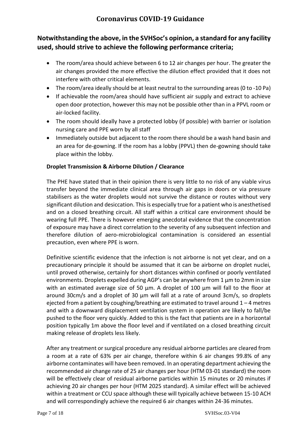## **Notwithstanding the above, in the SVHSoc's opinion, a standard for any facility used, should strive to achieve the following performance criteria;**

- The room/area should achieve between 6 to 12 air changes per hour. The greater the air changes provided the more effective the dilution effect provided that it does not interfere with other critical elements.
- The room/area ideally should be at least neutral to the surrounding areas (0 to -10 Pa)
- If achievable the room/area should have sufficient air supply and extract to achieve open door protection, however this may not be possible other than in a PPVL room or air-locked facility.
- The room should ideally have a protected lobby (if possible) with barrier or isolation nursing care and PPE worn by all staff
- Immediately outside but adjacent to the room there should be a wash hand basin and an area for de-gowning. If the room has a lobby (PPVL) then de-gowning should take place within the lobby.

#### **Droplet Transmission & Airborne Dilution / Clearance**

The PHE have stated that in their opinion there is very little to no risk of any viable virus transfer beyond the immediate clinical area through air gaps in doors or via pressure stabilisers as the water droplets would not survive the distance or routes without very significant dilution and desiccation. This is especially true for a patient who is anesthetised and on a closed breathing circuit. All staff within a critical care environment should be wearing full PPE. There is however emerging anecdotal evidence that the concentration of exposure may have a direct correlation to the severity of any subsequent infection and therefore dilution of aero-microbiological contamination is considered an essential precaution, even where PPE is worn.

Definitive scientific evidence that the infection is not airborne is not yet clear, and on a precautionary principle it should be assumed that it can be airborne on droplet nuclei, until proved otherwise, certainly for short distances within confined or poorly ventilated environments. Droplets expelled during AGP's can be anywhere from 1 um to 2mm in size with an estimated average size of 50 µm. A droplet of 100 µm will fall to the floor at around 30 $cm/s$  and a droplet of 30  $\mu$ m will fall at a rate of around 3 $cm/s$ , so droplets ejected from a patient by coughing/breathing are estimated to travel around  $1 - 4$  metres and with a downward displacement ventilation system in operation are likely to fall/be pushed to the floor very quickly. Added to this is the fact that patients are in a horizontal position typically 1m above the floor level and if ventilated on a closed breathing circuit making release of droplets less likely.

After any treatment or surgical procedure any residual airborne particles are cleared from a room at a rate of 63% per air change, therefore within 6 air changes 99.8% of any airborne contaminates will have been removed. In an operating department achieving the recommended air change rate of 25 air changes per hour (HTM 03-01 standard) the room will be effectively clear of residual airborne particles within 15 minutes or 20 minutes if achieving 20 air changes per hour (HTM 2025 standard). A similar effect will be achieved within a treatment or CCU space although these will typically achieve between 15-10 ACH and will correspondingly achieve the required 6 air changes within 24-36 minutes.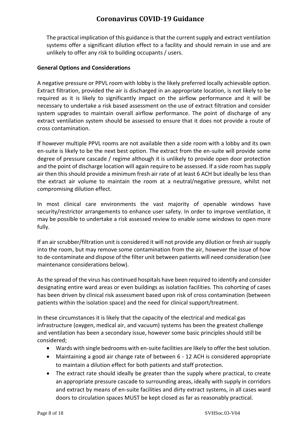The practical implication of this guidance is that the current supply and extract ventilation systems offer a significant dilution effect to a facility and should remain in use and are unlikely to offer any risk to building occupants / users.

#### **General Options and Considerations**

A negative pressure or PPVL room with lobby is the likely preferred locally achievable option. Extract filtration, provided the air is discharged in an appropriate location, is not likely to be required as it is likely to significantly impact on the airflow performance and it will be necessary to undertake a risk based assessment on the use of extract filtration and consider system upgrades to maintain overall airflow performance. The point of discharge of any extract ventilation system should be assessed to ensure that it does not provide a route of cross contamination.

If however multiple PPVL rooms are not available then a side room with a lobby and its own en-suite is likely to be the next best option. The extract from the en-suite will provide some degree of pressure cascade / regime although it is unlikely to provide open door protection and the point of discharge location will again require to be assessed. If a side room has supply air then this should provide a minimum fresh air rate of at least 6 ACH but ideally be less than the extract air volume to maintain the room at a neutral/negative pressure, whilst not compromising dilution effect.

In most clinical care environments the vast majority of openable windows have security/restrictor arrangements to enhance user safety. In order to improve ventilation, it may be possible to undertake a risk assessed review to enable some windows to open more fully.

If an air scrubber/filtration unit is considered it will not provide any dilution or fresh air supply into the room, but may remove some contamination from the air, however the issue of how to de-contaminate and dispose of the filter unit between patients will need consideration (see maintenance considerations below).

As the spread of the virus has continued hospitals have been required to identify and consider designating entire ward areas or even buildings as isolation facilities. This cohorting of cases has been driven by clinical risk assessment based upon risk of cross contamination (between patients within the isolation space) and the need for clinical support/treatment.

In these circumstances it is likely that the capacity of the electrical and medical gas infrastructure (oxygen, medical air, and vacuum) systems has been the greatest challenge and ventilation has been a secondary issue, however some basic principles should still be considered;

- Wards with single bedrooms with en-suite facilities are likely to offer the best solution.
- Maintaining a good air change rate of between 6 12 ACH is considered appropriate to maintain a dilution effect for both patients and staff protection.
- The extract rate should ideally be greater than the supply where practical, to create an appropriate pressure cascade to surrounding areas, ideally with supply in corridors and extract by means of en-suite facilities and dirty extract systems, in all cases ward doors to circulation spaces MUST be kept closed as far as reasonably practical.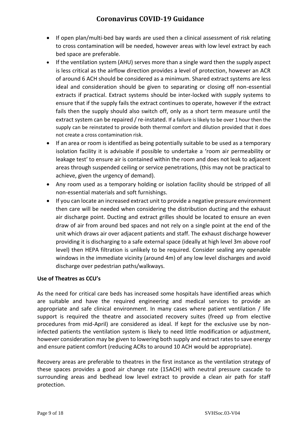- If open plan/multi-bed bay wards are used then a clinical assessment of risk relating to cross contamination will be needed, however areas with low level extract by each bed space are preferable.
- If the ventilation system (AHU) serves more than a single ward then the supply aspect is less critical as the airflow direction provides a level of protection, however an ACR of around 6 ACH should be considered as a minimum. Shared extract systems are less ideal and consideration should be given to separating or closing off non-essential extracts if practical. Extract systems should be inter-locked with supply systems to ensure that if the supply fails the extract continues to operate, however if the extract fails then the supply should also switch off, only as a short term measure until the extract system can be repaired / re-instated. If a failure is likely to be over 1 hour then the supply can be reinstated to provide both thermal comfort and dilution provided that it does not create a cross contamination risk.
- If an area or room is identified as being potentially suitable to be used as a temporary isolation facility it is advisable if possible to undertake a 'room air permeability or leakage test' to ensure air is contained within the room and does not leak to adjacent areas through suspended ceiling or service penetrations, (this may not be practical to achieve, given the urgency of demand).
- Any room used as a temporary holding or isolation facility should be stripped of all non-essential materials and soft furnishings.
- If you can locate an increased extract unit to provide a negative pressure environment then care will be needed when considering the distribution ducting and the exhaust air discharge point. Ducting and extract grilles should be located to ensure an even draw of air from around bed spaces and not rely on a single point at the end of the unit which draws air over adjacent patients and staff. The exhaust discharge however providing it is discharging to a safe external space (ideally at high level 3m above roof level) then HEPA filtration is unlikely to be required. Consider sealing any openable windows in the immediate vicinity (around 4m) of any low level discharges and avoid discharge over pedestrian paths/walkways.

#### **Use of Theatres as CCU's**

As the need for critical care beds has increased some hospitals have identified areas which are suitable and have the required engineering and medical services to provide an appropriate and safe clinical environment. In many cases where patient ventilation / life support is required the theatre and associated recovery suites (freed up from elective procedures from mid-April) are considered as ideal. If kept for the exclusive use by noninfected patients the ventilation system is likely to need little modification or adjustment, however consideration may be given to lowering both supply and extract rates to save energy and ensure patient comfort (reducing ACRs to around 10 ACH would be appropriate).

Recovery areas are preferable to theatres in the first instance as the ventilation strategy of these spaces provides a good air change rate (15ACH) with neutral pressure cascade to surrounding areas and bedhead low level extract to provide a clean air path for staff protection.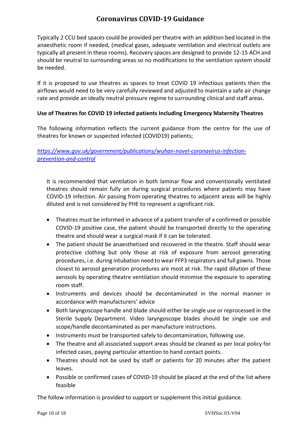Typically 2 CCU bed spaces could be provided per theatre with an addition bed located in the anaesthetic room if needed, (medical gases, adequate ventilation and electrical outlets are typically all present in these rooms). Recovery spaces are designed to provide 12-15 ACH and should be neutral to surrounding areas so no modifications to the ventilation system should be needed.

If it is proposed to use theatres as spaces to treat COVID 19 infectious patients then the airflows would need to be very carefully reviewed and adjusted to maintain a safe air change rate and provide an ideally neutral pressure regime to surrounding clinical and staff areas.

#### **Use of Theatres for COVID 19 infected patients Including Emergency Maternity Theatres**

The following information reflects the current guidance from the centre for the use of theatres for known or suspected infected (COVID19) patients;

*[https://www.gov.uk/government/publications/wuhan-novel-coronavirus-infection](https://www.gov.uk/government/publications/wuhan-novel-coronavirus-infection-prevention-and-control)[prevention-and-control](https://www.gov.uk/government/publications/wuhan-novel-coronavirus-infection-prevention-and-control)*

It is recommended that ventilation in both laminar flow and conventionally ventilated theatres should remain fully on during surgical procedures where patients may have COVID-19 infection. Air passing from operating theatres to adjacent areas will be highly diluted and is not considered by PHE to represent a significant risk.

- Theatres must be informed in advance of a patient transfer of a confirmed or possible COVID-19 positive case, the patient should be transported directly to the operating theatre and should wear a surgical mask if it can be tolerated.
- The patient should be anaesthetised and recovered in the theatre. Staff should wear protective clothing but only those at risk of exposure from aerosol generating procedures, i.e. during intubation need to wear FFP3 respirators and full gowns. Those closest to aerosol generation procedures are most at risk. The rapid dilution of these aerosols by operating theatre ventilation should minimise the exposure to operating room staff.
- Instruments and devices should be decontaminated in the normal manner in accordance with manufacturers' advice
- Both laryngoscope handle and blade should either be single use or reprocessed in the Sterile Supply Department. Video laryngoscope blades should be single use and scope/handle decontaminated as per manufacture instructions.
- Instruments must be transported safely to decontamination, following use.
- The theatre and all associated support areas should be cleaned as per local policy for infected cases, paying particular attention to hand contact points.
- Theatres should not be used by staff or patients for 20 minutes after the patient leaves.
- Possible or confirmed cases of COVID-19 should be placed at the end of the list where feasible

The follow information is provided to support or supplement this initial guidance.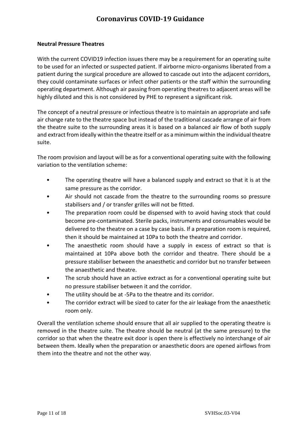#### **Neutral Pressure Theatres**

With the current COVID19 infection issues there may be a requirement for an operating suite to be used for an infected or suspected patient. If airborne micro-organisms liberated from a patient during the surgical procedure are allowed to cascade out into the adjacent corridors, they could contaminate surfaces or infect other patients or the staff within the surrounding operating department. Although air passing from operating theatres to adjacent areas will be highly diluted and this is not considered by PHE to represent a significant risk.

The concept of a neutral pressure or infectious theatre is to maintain an appropriate and safe air change rate to the theatre space but instead of the traditional cascade arrange of air from the theatre suite to the surrounding areas it is based on a balanced air flow of both supply and extract from ideally within the theatre itself or as a minimum within the individual theatre suite.

The room provision and layout will be as for a conventional operating suite with the following variation to the ventilation scheme:

- The operating theatre will have a balanced supply and extract so that it is at the same pressure as the corridor.
- Air should not cascade from the theatre to the surrounding rooms so pressure stabilisers and / or transfer grilles will not be fitted.
- The preparation room could be dispensed with to avoid having stock that could become pre-contaminated. Sterile packs, instruments and consumables would be delivered to the theatre on a case by case basis. If a preparation room is required, then it should be maintained at 10Pa to both the theatre and corridor.
- The anaesthetic room should have a supply in excess of extract so that is maintained at 10Pa above both the corridor and theatre. There should be a pressure stabiliser between the anaesthetic and corridor but no transfer between the anaesthetic and theatre.
- The scrub should have an active extract as for a conventional operating suite but no pressure stabiliser between it and the corridor.
- The utility should be at -5Pa to the theatre and its corridor.
- The corridor extract will be sized to cater for the air leakage from the anaesthetic room only.

Overall the ventilation scheme should ensure that all air supplied to the operating theatre is removed in the theatre suite. The theatre should be neutral (at the same pressure) to the corridor so that when the theatre exit door is open there is effectively no interchange of air between them. Ideally when the preparation or anaesthetic doors are opened airflows from them into the theatre and not the other way.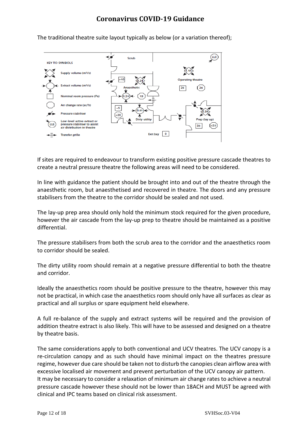$\underline{\text{LLE}}$ Scrub **KEY TO SYMBOLS**  $(1.15)$ Sunnly volume (m3/s)  $>10$  $25<sub>25</sub>$  $(25)$ Nominal room pressure (Pa) Air change rate (ac/h) **Pressure stabiliser** Prep (lay up) **Dirty utility** Low-level active extract or ันเ ssure stabiliser to assist 35  $\left[ >\right]$ ir distribution in theatre Exit bay  $\boxed{0}$ **Transfer grille** 

The traditional theatre suite layout typically as below (or a variation thereof);

If sites are required to endeavour to transform existing positive pressure cascade theatres to create a neutral pressure theatre the following areas will need to be considered.

In line with guidance the patient should be brought into and out of the theatre through the anaesthetic room, but anaesthetised and recovered in theatre. The doors and any pressure stabilisers from the theatre to the corridor should be sealed and not used.

The lay-up prep area should only hold the minimum stock required for the given procedure, however the air cascade from the lay-up prep to theatre should be maintained as a positive differential.

The pressure stabilisers from both the scrub area to the corridor and the anaesthetics room to corridor should be sealed.

The dirty utility room should remain at a negative pressure differential to both the theatre and corridor.

Ideally the anaesthetics room should be positive pressure to the theatre, however this may not be practical, in which case the anaesthetics room should only have all surfaces as clear as practical and all surplus or spare equipment held elsewhere.

A full re-balance of the supply and extract systems will be required and the provision of addition theatre extract is also likely. This will have to be assessed and designed on a theatre by theatre basis.

The same considerations apply to both conventional and UCV theatres. The UCV canopy is a re-circulation canopy and as such should have minimal impact on the theatres pressure regime, however due care should be taken not to disturb the canopies clean airflow area with excessive localised air movement and prevent perturbation of the UCV canopy air pattern. It may be necessary to consider a relaxation of minimum air change rates to achieve a neutral pressure cascade however these should not be lower than 18ACH and MUST be agreed with clinical and IPC teams based on clinical risk assessment.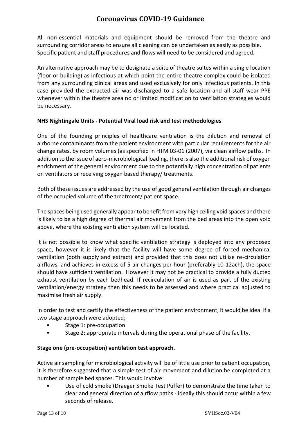All non-essential materials and equipment should be removed from the theatre and surrounding corridor areas to ensure all cleaning can be undertaken as easily as possible. Specific patient and staff procedures and flows will need to be considered and agreed.

An alternative approach may be to designate a suite of theatre suites within a single location (floor or building) as infectious at which point the entire theatre complex could be isolated from any surrounding clinical areas and used exclusively for only infectious patients. In this case provided the extracted air was discharged to a safe location and all staff wear PPE whenever within the theatre area no or limited modification to ventilation strategies would be necessary.

#### **NHS Nightingale Units - Potential Viral load risk and test methodologies**

One of the founding principles of healthcare ventilation is the dilution and removal of airborne contaminants from the patient environment with particular requirements for the air change rates, by room volumes (as specified in HTM 03-01 (2007), via clean airflow paths. In addition to the issue of aero-microbiological loading, there is also the additional risk of oxygen enrichment of the general environment due to the potentially high concentration of patients on ventilators or receiving oxygen based therapy/ treatments.

Both of these issues are addressed by the use of good general ventilation through air changes of the occupied volume of the treatment/ patient space.

The spaces being used generally appear to benefit from very high ceiling void spaces and there is likely to be a high degree of thermal air movement from the bed areas into the open void above, where the existing ventilation system will be located.

It is not possible to know what specific ventilation strategy is deployed into any proposed space, however it is likely that the facility will have some degree of forced mechanical ventilation (both supply and extract) and provided that this does not utilise re-circulation airflows, and achieves in excess of 5 air changes per hour (preferably 10-12ach), the space should have sufficient ventilation. However it may not be practical to provide a fully ducted exhaust ventilation by each bedhead. If recirculation of air is used as part of the existing ventilation/energy strategy then this needs to be assessed and where practical adjusted to maximise fresh air supply.

In order to test and certify the effectiveness of the patient environment, it would be ideal if a two stage approach were adopted;

- Stage 1: pre-occupation
- Stage 2: appropriate intervals during the operational phase of the facility.

#### **Stage one (pre-occupation) ventilation test approach.**

Active air sampling for microbiological activity will be of little use prior to patient occupation, it is therefore suggested that a simple test of air movement and dilution be completed at a number of sample bed spaces. This would involve:

• Use of cold smoke (Draeger Smoke Test Puffer) to demonstrate the time taken to clear and general direction of airflow paths - ideally this should occur within a few seconds of release.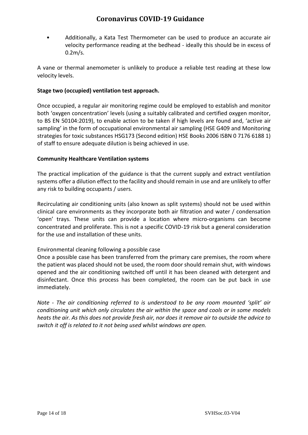• Additionally, a Kata Test Thermometer can be used to produce an accurate air velocity performance reading at the bedhead - ideally this should be in excess of 0.2m/s.

A vane or thermal anemometer is unlikely to produce a reliable test reading at these low velocity levels.

#### **Stage two (occupied) ventilation test approach.**

Once occupied, a regular air monitoring regime could be employed to establish and monitor both 'oxygen concentration' levels (using a suitably calibrated and certified oxygen monitor, to BS EN 50104:2019), to enable action to be taken if high levels are found and, 'active air sampling' in the form of occupational environmental air sampling (HSE G409 and Monitoring strategies for toxic substances HSG173 (Second edition) HSE Books 2006 ISBN 0 7176 6188 1) of staff to ensure adequate dilution is being achieved in use.

#### **Community Healthcare Ventilation systems**

The practical implication of the guidance is that the current supply and extract ventilation systems offer a dilution effect to the facility and should remain in use and are unlikely to offer any risk to building occupants / users.

Recirculating air conditioning units (also known as split systems) should not be used within clinical care environments as they incorporate both air filtration and water / condensation 'open' trays. These units can provide a location where micro-organisms can become concentrated and proliferate. This is not a specific COVID-19 risk but a general consideration for the use and installation of these units.

#### Environmental cleaning following a possible case

Once a possible case has been transferred from the primary care premises, the room where the patient was placed should not be used, the room door should remain shut, with windows opened and the air conditioning switched off until it has been cleaned with detergent and disinfectant. Once this process has been completed, the room can be put back in use immediately.

*Note - The air conditioning referred to is understood to be any room mounted 'split' air conditioning unit which only circulates the air within the space and cools or in some models heats the air. As this does not provide fresh air, nor does it remove air to outside the advice to switch it off is related to it not being used whilst windows are open.*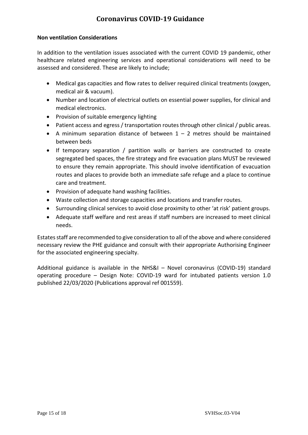#### **Non ventilation Considerations**

In addition to the ventilation issues associated with the current COVID 19 pandemic, other healthcare related engineering services and operational considerations will need to be assessed and considered. These are likely to include;

- Medical gas capacities and flow rates to deliver required clinical treatments (oxygen, medical air & vacuum).
- Number and location of electrical outlets on essential power supplies, for clinical and medical electronics.
- Provision of suitable emergency lighting
- Patient access and egress / transportation routes through other clinical / public areas.
- A minimum separation distance of between  $1 2$  metres should be maintained between beds
- If temporary separation / partition walls or barriers are constructed to create segregated bed spaces, the fire strategy and fire evacuation plans MUST be reviewed to ensure they remain appropriate. This should involve identification of evacuation routes and places to provide both an immediate safe refuge and a place to continue care and treatment.
- Provision of adequate hand washing facilities.
- Waste collection and storage capacities and locations and transfer routes.
- Surrounding clinical services to avoid close proximity to other 'at risk' patient groups.
- Adequate staff welfare and rest areas if staff numbers are increased to meet clinical needs.

Estates staff are recommended to give consideration to all of the above and where considered necessary review the PHE guidance and consult with their appropriate Authorising Engineer for the associated engineering specialty.

Additional guidance is available in the NHS&I – Novel coronavirus (COVID-19) standard operating procedure – Design Note: COVID-19 ward for intubated patients version 1.0 published 22/03/2020 (Publications approval ref 001559).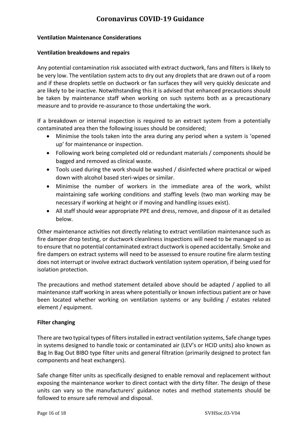#### **Ventilation Maintenance Considerations**

#### **Ventilation breakdowns and repairs**

Any potential contamination risk associated with extract ductwork, fans and filters is likely to be very low. The ventilation system acts to dry out any droplets that are drawn out of a room and if these droplets settle on ductwork or fan surfaces they will very quickly desiccate and are likely to be inactive. Notwithstanding this it is advised that enhanced precautions should be taken by maintenance staff when working on such systems both as a precautionary measure and to provide re-assurance to those undertaking the work.

If a breakdown or internal inspection is required to an extract system from a potentially contaminated area then the following issues should be considered;

- Minimise the tools taken into the area during any period when a system is 'opened up' for maintenance or inspection.
- Following work being completed old or redundant materials / components should be bagged and removed as clinical waste.
- Tools used during the work should be washed / disinfected where practical or wiped down with alcohol based steri-wipes or similar.
- Minimise the number of workers in the immediate area of the work, whilst maintaining safe working conditions and staffing levels (two man working may be necessary if working at height or if moving and handling issues exist).
- All staff should wear appropriate PPE and dress, remove, and dispose of it as detailed below.

Other maintenance activities not directly relating to extract ventilation maintenance such as fire damper drop testing, or ductwork cleanliness inspections will need to be managed so as to ensure that no potential contaminated extract ductwork is opened accidentally. Smoke and fire dampers on extract systems will need to be assessed to ensure routine fire alarm testing does not interrupt or involve extract ductwork ventilation system operation, if being used for isolation protection.

The precautions and method statement detailed above should be adapted / applied to all maintenance staff working in areas where potentially or known infectious patient are or have been located whether working on ventilation systems or any building / estates related element / equipment.

#### **Filter changing**

There are two typical types of filters installed in extract ventilation systems, Safe change types in systems designed to handle toxic or contaminated air (LEV's or HCID units) also known as Bag In Bag Out BIBO type filter units and general filtration (primarily designed to protect fan components and heat exchangers).

Safe change filter units as specifically designed to enable removal and replacement without exposing the maintenance worker to direct contact with the dirty filter. The design of these units can vary so the manufacturers' guidance notes and method statements should be followed to ensure safe removal and disposal.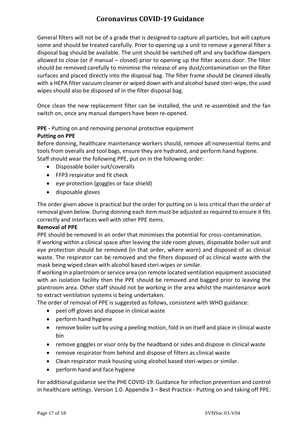General filters will not be of a grade that is designed to capture all particles, but will capture some and should be treated carefully. Prior to opening up a unit to remove a general filter a disposal bag should be available. The unit should be switched off and any backflow dampers allowed to close (or if manual – closed) prior to opening up the filter access door. The filter should be removed carefully to minimise the release of any dust/contamination on the filter surfaces and placed directly into the disposal bag. The filter frame should be cleaned ideally with a HEPA filter vacuum cleaner or wiped down with and alcohol based steri-wipe, the used wipes should also be disposed of in the filter disposal bag.

Once clean the new replacement filter can be installed, the unit re-assembled and the fan switch on, once any manual dampers have been re-opened.

#### **PPE -** Putting on and removing personal protective equipment

#### **Putting on PPE**

Before donning, healthcare maintenance workers should, remove all nonessential items and tools from overalls and tool bags, ensure they are hydrated, and perform hand hygiene. Staff should wear the following PPE, put on in the following order:

- Disposable boiler suit/coveralls
- FFP3 respirator and fit check
- eye protection (goggles or face shield)
- disposable gloves

The order given above is practical but the order for putting on is less critical than the order of removal given below. During donning each item must be adjusted as required to ensure it fits correctly and interfaces well with other PPE items.

#### **Removal of PPE**

PPE should be removed in an order that minimises the potential for cross-contamination. If working within a clinical space after leaving the side room gloves, disposable boiler suit and eye protection should be removed (in that order, where worn) and disposed of as clinical waste. The respirator can be removed and the filters disposed of as clinical waste with the mask being wiped clean with alcohol based steri-wipes or similar.

If working in a plantroom or service area (on remote located ventilation equipment associated with an isolation facility then the PPE should be removed and bagged prior to leaving the plantroom area. Other staff should not be working in the area whilst the maintenance work to extract ventilation systems is being undertaken.

The order of removal of PPE is suggested as follows, consistent with WHO guidance:

- peel off gloves and dispose in clinical waste
- perform hand hygiene
- remove boiler suit by using a peeling motion, fold in on itself and place in clinical waste bin
- remove goggles or visor only by the headband or sides and dispose in clinical waste
- remove respirator from behind and dispose of filters as clinical waste
- Clean respirator mask housing using alcohol based steri-wipes or similar.
- perform hand and face hygiene

For additional guidance see the PHE COVID-19: Guidance for infection prevention and control in healthcare settings. Version 1.0. Appendix 3 – Best Practice - Putting on and taking off PPE.